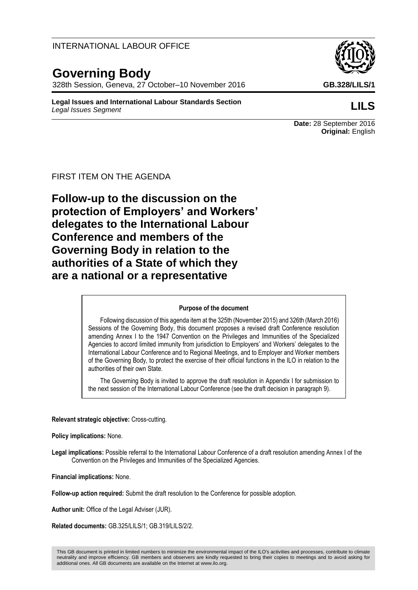# INTERNATIONAL LABOUR OFFICE

# **Governing Body**

328th Session, Geneva, 27 October–10 November 2016 **GB.328/LILS/1**

**Legal Issues and International Labour Standards Section** *Legal Issues Segment* **LILS**

## FIRST ITEM ON THE AGENDA

**Follow-up to the discussion on the protection of Employers' and Workers' delegates to the International Labour Conference and members of the Governing Body in relation to the authorities of a State of which they are a national or a representative**

#### **Purpose of the document**

Following discussion of this agenda item at the 325th (November 2015) and 326th (March 2016) Sessions of the Governing Body, this document proposes a revised draft Conference resolution amending Annex I to the 1947 Convention on the Privileges and Immunities of the Specialized Agencies to accord limited immunity from jurisdiction to Employers' and Workers' delegates to the International Labour Conference and to Regional Meetings, and to Employer and Worker members of the Governing Body, to protect the exercise of their official functions in the ILO in relation to the authorities of their own State.

The Governing Body is invited to approve the draft resolution in Appendix I for submission to the next session of the International Labour Conference (see the draft decision in paragraph 9).

#### **Relevant strategic objective:** Cross-cutting.

**Policy implications:** None.

**Legal implications:** Possible referral to the International Labour Conference of a draft resolution amending Annex I of the Convention on the Privileges and Immunities of the Specialized Agencies.

**Financial implications:** None.

**Follow-up action required:** Submit the draft resolution to the Conference for possible adoption.

**Author unit:** Office of the Legal Adviser (JUR).

**Related documents:** GB.325/LILS/1; GB.319/LILS/2/2.



**Date:** 28 September 2016 **Original:** English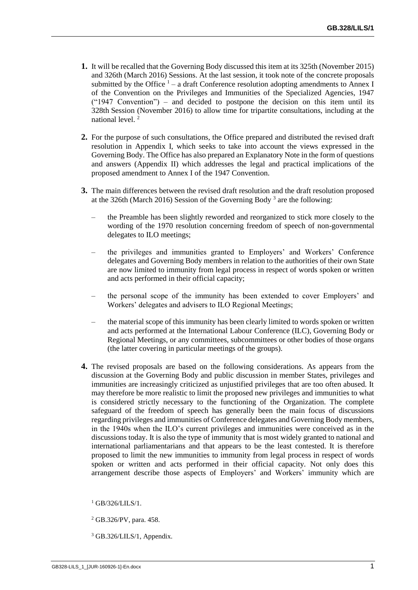- **1.** It will be recalled that the Governing Body discussed this item at its 325th (November 2015) and 326th (March 2016) Sessions. At the last session, it took note of the concrete proposals submitted by the Office  $1 - a$  draft Conference resolution adopting amendments to Annex I of the Convention on the Privileges and Immunities of the Specialized Agencies, 1947  $("1947 Convention")$  – and decided to postpone the decision on this item until its 328th Session (November 2016) to allow time for tripartite consultations, including at the national level. <sup>2</sup>
- **2.** For the purpose of such consultations, the Office prepared and distributed the revised draft resolution in Appendix I, which seeks to take into account the views expressed in the Governing Body. The Office has also prepared an Explanatory Note in the form of questions and answers (Appendix II) which addresses the legal and practical implications of the proposed amendment to Annex I of the 1947 Convention.
- **3.** The main differences between the revised draft resolution and the draft resolution proposed at the 326th (March 2016) Session of the Governing Body<sup>3</sup> are the following:
	- the Preamble has been slightly reworded and reorganized to stick more closely to the wording of the 1970 resolution concerning freedom of speech of non-governmental delegates to ILO meetings;
	- the privileges and immunities granted to Employers' and Workers' Conference delegates and Governing Body members in relation to the authorities of their own State are now limited to immunity from legal process in respect of words spoken or written and acts performed in their official capacity;
	- the personal scope of the immunity has been extended to cover Employers' and Workers' delegates and advisers to ILO Regional Meetings;
	- the material scope of this immunity has been clearly limited to words spoken or written and acts performed at the International Labour Conference (ILC), Governing Body or Regional Meetings, or any committees, subcommittees or other bodies of those organs (the latter covering in particular meetings of the groups).
- **4.** The revised proposals are based on the following considerations. As appears from the discussion at the Governing Body and public discussion in member States, privileges and immunities are increasingly criticized as unjustified privileges that are too often abused. It may therefore be more realistic to limit the proposed new privileges and immunities to what is considered strictly necessary to the functioning of the Organization. The complete safeguard of the freedom of speech has generally been the main focus of discussions regarding privileges and immunities of Conference delegates and Governing Body members, in the 1940s when the ILO's current privileges and immunities were conceived as in the discussions today. It is also the type of immunity that is most widely granted to national and international parliamentarians and that appears to be the least contested. It is therefore proposed to limit the new immunities to immunity from legal process in respect of words spoken or written and acts performed in their official capacity. Not only does this arrangement describe those aspects of Employers' and Workers' immunity which are

 $^{1}$  GB/326/LILS/1.

<sup>2</sup> GB.326/PV, para. 458.

<sup>3</sup> GB.326/LILS/1, Appendix.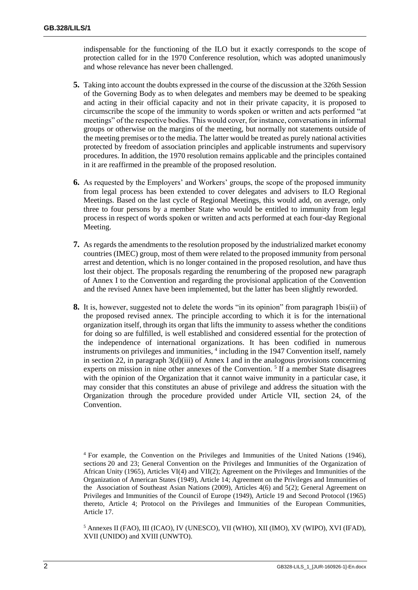indispensable for the functioning of the ILO but it exactly corresponds to the scope of protection called for in the 1970 Conference resolution, which was adopted unanimously and whose relevance has never been challenged.

- **5.** Taking into account the doubts expressed in the course of the discussion at the 326th Session of the Governing Body as to when delegates and members may be deemed to be speaking and acting in their official capacity and not in their private capacity, it is proposed to circumscribe the scope of the immunity to words spoken or written and acts performed "at meetings" of the respective bodies. This would cover, for instance, conversations in informal groups or otherwise on the margins of the meeting, but normally not statements outside of the meeting premises or to the media. The latter would be treated as purely national activities protected by freedom of association principles and applicable instruments and supervisory procedures. In addition, the 1970 resolution remains applicable and the principles contained in it are reaffirmed in the preamble of the proposed resolution.
- **6.** As requested by the Employers' and Workers' groups, the scope of the proposed immunity from legal process has been extended to cover delegates and advisers to ILO Regional Meetings. Based on the last cycle of Regional Meetings, this would add, on average, only three to four persons by a member State who would be entitled to immunity from legal process in respect of words spoken or written and acts performed at each four-day Regional Meeting.
- **7.** As regards the amendments to the resolution proposed by the industrialized market economy countries (IMEC) group, most of them were related to the proposed immunity from personal arrest and detention, which is no longer contained in the proposed resolution, and have thus lost their object. The proposals regarding the renumbering of the proposed new paragraph of Annex I to the Convention and regarding the provisional application of the Convention and the revised Annex have been implemented, but the latter has been slightly reworded.
- **8.** It is, however, suggested not to delete the words "in its opinion" from paragraph 1bis(ii) of the proposed revised annex. The principle according to which it is for the international organization itself, through its organ that lifts the immunity to assess whether the conditions for doing so are fulfilled, is well established and considered essential for the protection of the independence of international organizations. It has been codified in numerous instruments on privileges and immunities, <sup>4</sup> including in the 1947 Convention itself, namely in section 22, in paragraph 3(d)(iii) of Annex I and in the analogous provisions concerning experts on mission in nine other annexes of the Convention.<sup>5</sup> If a member State disagrees with the opinion of the Organization that it cannot waive immunity in a particular case, it may consider that this constitutes an abuse of privilege and address the situation with the Organization through the procedure provided under Article VII, section 24, of the Convention.

<sup>5</sup> Annexes II (FAO), III (ICAO), IV (UNESCO), VII (WHO), XII (IMO), XV (WIPO), XVI (IFAD), XVII (UNIDO) and XVIII (UNWTO).

<sup>4</sup> For example, the Convention on the Privileges and Immunities of the United Nations (1946), sections 20 and 23; General Convention on the Privileges and Immunities of the Organization of African Unity (1965), Articles VI(4) and VII(2); Agreement on the Privileges and Immunities of the Organization of American States (1949), Article 14; Agreement on the Privileges and Immunities of the Association of Southeast Asian Nations (2009), Articles 4(6) and 5(2); General Agreement on Privileges and Immunities of the Council of Europe (1949), Article 19 and Second Protocol (1965) thereto, Article 4; Protocol on the Privileges and Immunities of the European Communities, Article 17.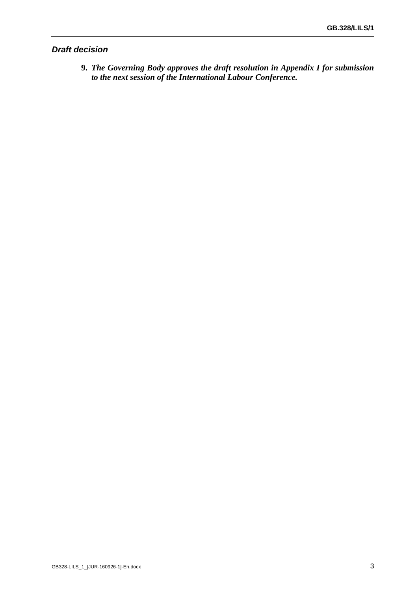# *Draft decision*

**9.** *The Governing Body approves the draft resolution in Appendix I for submission to the next session of the International Labour Conference.*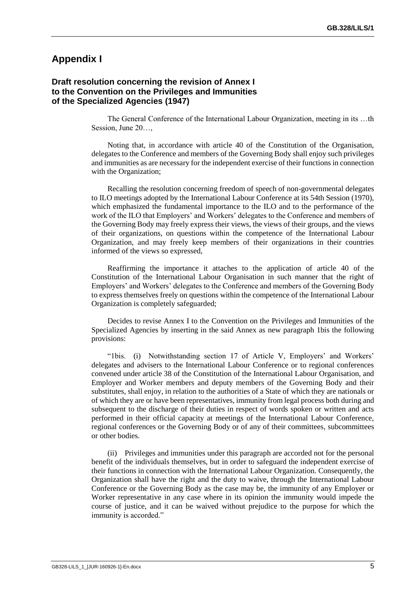# **Appendix I**

### **Draft resolution concerning the revision of Annex I to the Convention on the Privileges and Immunities of the Specialized Agencies (1947)**

The General Conference of the International Labour Organization, meeting in its …th Session, June 20…

Noting that, in accordance with article 40 of the Constitution of the Organisation, delegates to the Conference and members of the Governing Body shall enjoy such privileges and immunities as are necessary for the independent exercise of their functions in connection with the Organization;

Recalling the resolution concerning freedom of speech of non-governmental delegates to ILO meetings adopted by the International Labour Conference at its 54th Session (1970), which emphasized the fundamental importance to the ILO and to the performance of the work of the ILO that Employers' and Workers' delegates to the Conference and members of the Governing Body may freely express their views, the views of their groups, and the views of their organizations, on questions within the competence of the International Labour Organization, and may freely keep members of their organizations in their countries informed of the views so expressed,

Reaffirming the importance it attaches to the application of article 40 of the Constitution of the International Labour Organisation in such manner that the right of Employers' and Workers' delegates to the Conference and members of the Governing Body to express themselves freely on questions within the competence of the International Labour Organization is completely safeguarded;

Decides to revise Annex I to the Convention on the Privileges and Immunities of the Specialized Agencies by inserting in the said Annex as new paragraph 1bis the following provisions:

"1bis. (i) Notwithstanding section 17 of Article V, Employers' and Workers' delegates and advisers to the International Labour Conference or to regional conferences convened under article 38 of the Constitution of the International Labour Organisation, and Employer and Worker members and deputy members of the Governing Body and their substitutes, shall enjoy, in relation to the authorities of a State of which they are nationals or of which they are or have been representatives, immunity from legal process both during and subsequent to the discharge of their duties in respect of words spoken or written and acts performed in their official capacity at meetings of the International Labour Conference, regional conferences or the Governing Body or of any of their committees, subcommittees or other bodies.

(ii) Privileges and immunities under this paragraph are accorded not for the personal benefit of the individuals themselves, but in order to safeguard the independent exercise of their functions in connection with the International Labour Organization. Consequently, the Organization shall have the right and the duty to waive, through the International Labour Conference or the Governing Body as the case may be, the immunity of any Employer or Worker representative in any case where in its opinion the immunity would impede the course of justice, and it can be waived without prejudice to the purpose for which the immunity is accorded."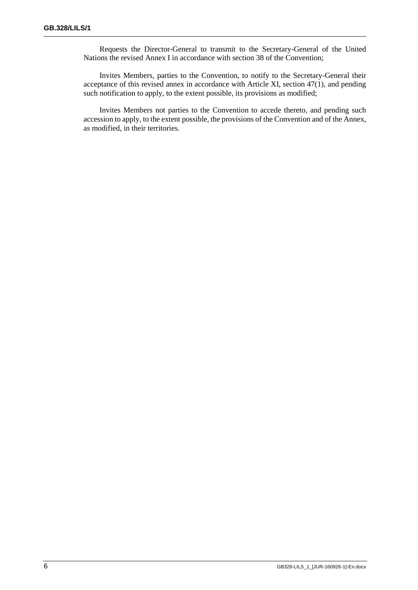Requests the Director-General to transmit to the Secretary-General of the United Nations the revised Annex I in accordance with section 38 of the Convention;

Invites Members, parties to the Convention, to notify to the Secretary-General their acceptance of this revised annex in accordance with Article XI, section 47(1), and pending such notification to apply, to the extent possible, its provisions as modified;

Invites Members not parties to the Convention to accede thereto, and pending such accession to apply, to the extent possible, the provisions of the Convention and of the Annex, as modified, in their territories.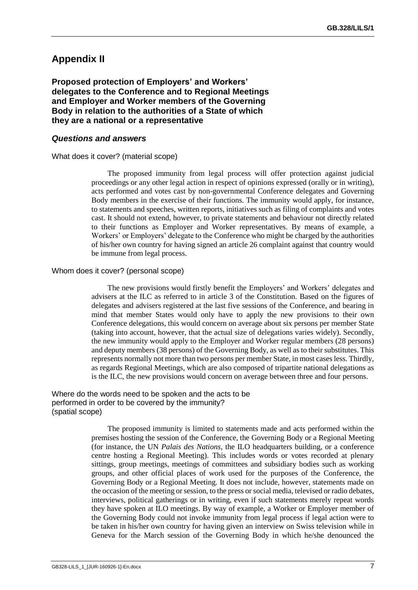# **Appendix II**

**Proposed protection of Employers' and Workers' delegates to the Conference and to Regional Meetings and Employer and Worker members of the Governing Body in relation to the authorities of a State of which they are a national or a representative**

#### *Questions and answers*

What does it cover? (material scope)

The proposed immunity from legal process will offer protection against judicial proceedings or any other legal action in respect of opinions expressed (orally or in writing), acts performed and votes cast by non-governmental Conference delegates and Governing Body members in the exercise of their functions. The immunity would apply, for instance, to statements and speeches, written reports, initiatives such as filing of complaints and votes cast. It should not extend, however, to private statements and behaviour not directly related to their functions as Employer and Worker representatives. By means of example, a Workers' or Employers' delegate to the Conference who might be charged by the authorities of his/her own country for having signed an article 26 complaint against that country would be immune from legal process.

#### Whom does it cover? (personal scope)

The new provisions would firstly benefit the Employers' and Workers' delegates and advisers at the ILC as referred to in article 3 of the Constitution. Based on the figures of delegates and advisers registered at the last five sessions of the Conference, and bearing in mind that member States would only have to apply the new provisions to their own Conference delegations, this would concern on average about six persons per member State (taking into account, however, that the actual size of delegations varies widely). Secondly, the new immunity would apply to the Employer and Worker regular members (28 persons) and deputy members (38 persons) of the Governing Body, as well as to their substitutes. This represents normally not more than two persons per member State, in most cases less. Thirdly, as regards Regional Meetings, which are also composed of tripartite national delegations as is the ILC, the new provisions would concern on average between three and four persons.

Where do the words need to be spoken and the acts to be performed in order to be covered by the immunity? (spatial scope)

> The proposed immunity is limited to statements made and acts performed within the premises hosting the session of the Conference, the Governing Body or a Regional Meeting (for instance, the UN *Palais des Nations*, the ILO headquarters building, or a conference centre hosting a Regional Meeting). This includes words or votes recorded at plenary sittings, group meetings, meetings of committees and subsidiary bodies such as working groups, and other official places of work used for the purposes of the Conference, the Governing Body or a Regional Meeting. It does not include, however, statements made on the occasion of the meeting or session, to the press or social media, televised or radio debates, interviews, political gatherings or in writing, even if such statements merely repeat words they have spoken at ILO meetings. By way of example, a Worker or Employer member of the Governing Body could not invoke immunity from legal process if legal action were to be taken in his/her own country for having given an interview on Swiss television while in Geneva for the March session of the Governing Body in which he/she denounced the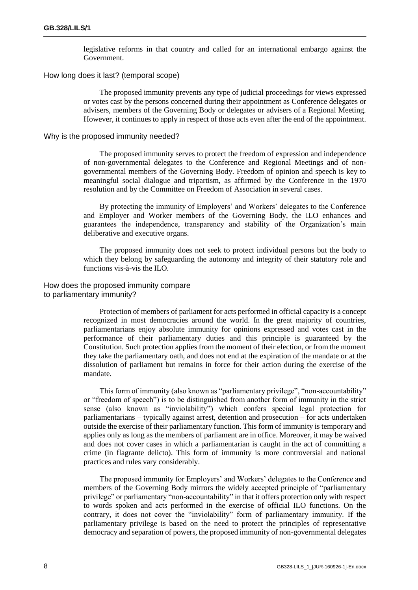legislative reforms in that country and called for an international embargo against the Government.

#### How long does it last? (temporal scope)

The proposed immunity prevents any type of judicial proceedings for views expressed or votes cast by the persons concerned during their appointment as Conference delegates or advisers, members of the Governing Body or delegates or advisers of a Regional Meeting. However, it continues to apply in respect of those acts even after the end of the appointment.

#### Why is the proposed immunity needed?

The proposed immunity serves to protect the freedom of expression and independence of non-governmental delegates to the Conference and Regional Meetings and of nongovernmental members of the Governing Body. Freedom of opinion and speech is key to meaningful social dialogue and tripartism, as affirmed by the Conference in the 1970 resolution and by the Committee on Freedom of Association in several cases.

By protecting the immunity of Employers' and Workers' delegates to the Conference and Employer and Worker members of the Governing Body, the ILO enhances and guarantees the independence, transparency and stability of the Organization's main deliberative and executive organs.

The proposed immunity does not seek to protect individual persons but the body to which they belong by safeguarding the autonomy and integrity of their statutory role and functions vis-à-vis the ILO.

#### How does the proposed immunity compare to parliamentary immunity?

Protection of members of parliament for acts performed in official capacity is a concept recognized in most democracies around the world. In the great majority of countries, parliamentarians enjoy absolute immunity for opinions expressed and votes cast in the performance of their parliamentary duties and this principle is guaranteed by the Constitution. Such protection applies from the moment of their election, or from the moment they take the parliamentary oath, and does not end at the expiration of the mandate or at the dissolution of parliament but remains in force for their action during the exercise of the mandate.

This form of immunity (also known as "parliamentary privilege", "non-accountability" or "freedom of speech") is to be distinguished from another form of immunity in the strict sense (also known as "inviolability") which confers special legal protection for parliamentarians – typically against arrest, detention and prosecution – for acts undertaken outside the exercise of their parliamentary function. This form of immunity is temporary and applies only as long as the members of parliament are in office. Moreover, it may be waived and does not cover cases in which a parliamentarian is caught in the act of committing a crime (in flagrante delicto). This form of immunity is more controversial and national practices and rules vary considerably.

The proposed immunity for Employers' and Workers' delegates to the Conference and members of the Governing Body mirrors the widely accepted principle of "parliamentary privilege" or parliamentary "non-accountability" in that it offers protection only with respect to words spoken and acts performed in the exercise of official ILO functions. On the contrary, it does not cover the "inviolability" form of parliamentary immunity. If the parliamentary privilege is based on the need to protect the principles of representative democracy and separation of powers, the proposed immunity of non-governmental delegates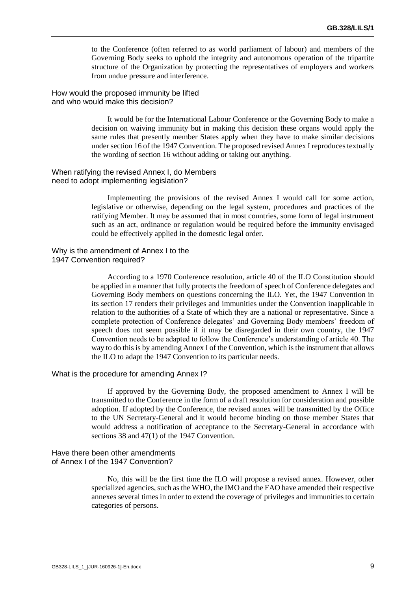to the Conference (often referred to as world parliament of labour) and members of the Governing Body seeks to uphold the integrity and autonomous operation of the tripartite structure of the Organization by protecting the representatives of employers and workers from undue pressure and interference.

How would the proposed immunity be lifted and who would make this decision?

> It would be for the International Labour Conference or the Governing Body to make a decision on waiving immunity but in making this decision these organs would apply the same rules that presently member States apply when they have to make similar decisions under section 16 of the 1947 Convention. The proposed revised Annex I reproduces textually the wording of section 16 without adding or taking out anything.

#### When ratifying the revised Annex I, do Members need to adopt implementing legislation?

Implementing the provisions of the revised Annex I would call for some action, legislative or otherwise, depending on the legal system, procedures and practices of the ratifying Member. It may be assumed that in most countries, some form of legal instrument such as an act, ordinance or regulation would be required before the immunity envisaged could be effectively applied in the domestic legal order.

Why is the amendment of Annex I to the 1947 Convention required?

> According to a 1970 Conference resolution, article 40 of the ILO Constitution should be applied in a manner that fully protects the freedom of speech of Conference delegates and Governing Body members on questions concerning the ILO. Yet, the 1947 Convention in its section 17 renders their privileges and immunities under the Convention inapplicable in relation to the authorities of a State of which they are a national or representative. Since a complete protection of Conference delegates' and Governing Body members' freedom of speech does not seem possible if it may be disregarded in their own country, the 1947 Convention needs to be adapted to follow the Conference's understanding of article 40. The way to do this is by amending Annex I of the Convention, which is the instrument that allows the ILO to adapt the 1947 Convention to its particular needs.

#### What is the procedure for amending Annex I?

If approved by the Governing Body, the proposed amendment to Annex I will be transmitted to the Conference in the form of a draft resolution for consideration and possible adoption. If adopted by the Conference, the revised annex will be transmitted by the Office to the UN Secretary-General and it would become binding on those member States that would address a notification of acceptance to the Secretary-General in accordance with sections 38 and 47(1) of the 1947 Convention.

#### Have there been other amendments of Annex I of the 1947 Convention?

No, this will be the first time the ILO will propose a revised annex. However, other specialized agencies, such as the WHO, the IMO and the FAO have amended their respective annexes several times in order to extend the coverage of privileges and immunities to certain categories of persons.